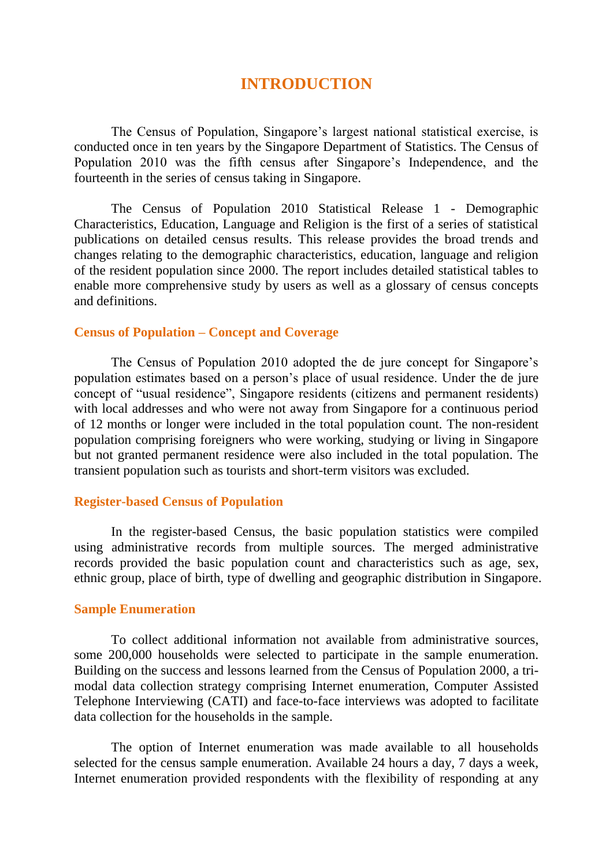# **INTRODUCTION**

The Census of Population, Singapore's largest national statistical exercise, is conducted once in ten years by the Singapore Department of Statistics. The Census of Population 2010 was the fifth census after Singapore's Independence, and the fourteenth in the series of census taking in Singapore.

The Census of Population 2010 Statistical Release 1 - Demographic Characteristics, Education, Language and Religion is the first of a series of statistical publications on detailed census results. This release provides the broad trends and changes relating to the demographic characteristics, education, language and religion of the resident population since 2000. The report includes detailed statistical tables to enable more comprehensive study by users as well as a glossary of census concepts and definitions.

### **Census of Population – Concept and Coverage**

The Census of Population 2010 adopted the de jure concept for Singapore's population estimates based on a person's place of usual residence. Under the de jure concept of "usual residence", Singapore residents (citizens and permanent residents) with local addresses and who were not away from Singapore for a continuous period of 12 months or longer were included in the total population count. The non-resident population comprising foreigners who were working, studying or living in Singapore but not granted permanent residence were also included in the total population. The transient population such as tourists and short-term visitors was excluded.

# **Register-based Census of Population**

In the register-based Census, the basic population statistics were compiled using administrative records from multiple sources. The merged administrative records provided the basic population count and characteristics such as age, sex, ethnic group, place of birth, type of dwelling and geographic distribution in Singapore.

#### **Sample Enumeration**

To collect additional information not available from administrative sources, some 200,000 households were selected to participate in the sample enumeration. Building on the success and lessons learned from the Census of Population 2000, a trimodal data collection strategy comprising Internet enumeration, Computer Assisted Telephone Interviewing (CATI) and face-to-face interviews was adopted to facilitate data collection for the households in the sample.

The option of Internet enumeration was made available to all households selected for the census sample enumeration. Available 24 hours a day, 7 days a week, Internet enumeration provided respondents with the flexibility of responding at any